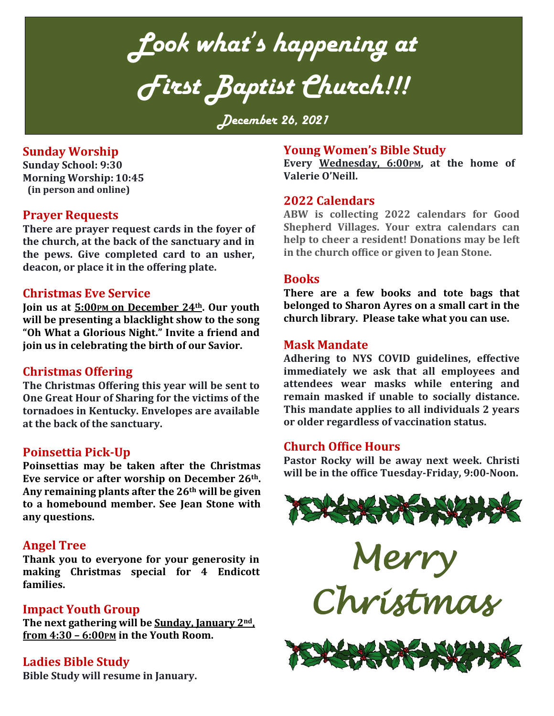*Look what's happening at First Baptist Church!!!*

*December 26, 2021*

## **Sunday Worship**

**Sunday School: 9:30 Morning Worship: 10:45 (in person and online)**

## **Prayer Requests**

**There are prayer request cards in the foyer of the church, at the back of the sanctuary and in the pews. Give completed card to an usher, deacon, or place it in the offering plate.**

## **Christmas Eve Service**

**Join us at 5:00PM on December 24th. Our youth will be presenting a blacklight show to the song "Oh What a Glorious Night." Invite a friend and join us in celebrating the birth of our Savior.**

## **Christmas Offering**

**The Christmas Offering this year will be sent to One Great Hour of Sharing for the victims of the tornadoes in Kentucky. Envelopes are available at the back of the sanctuary.**

## **Poinsettia Pick-Up**

**Poinsettias may be taken after the Christmas Eve service or after worship on December 26th. Any remaining plants after the 26th will be given to a homebound member. See Jean Stone with any questions.**

## **Angel Tree**

**Thank you to everyone for your generosity in making Christmas special for 4 Endicott families.** 

## **Impact Youth Group**

**The next gathering will be Sunday, January 2nd, from 4:30 – 6:00PM in the Youth Room.** 

**Ladies Bible Study**

**Bible Study will resume in January.** 

## **Young Women's Bible Study**

**Every Wednesday, 6:00PM, at the home of Valerie O'Neill.**

#### **2022 Calendars**

**ABW is collecting 2022 calendars for Good Shepherd Villages. Your extra calendars can help to cheer a resident! Donations may be left in the church office or given to Jean Stone.** 

#### **Books**

**There are a few books and tote bags that belonged to Sharon Ayres on a small cart in the church library. Please take what you can use.** 

#### **Mask Mandate**

**Adhering to NYS COVID guidelines, effective immediately we ask that all employees and attendees wear masks while entering and remain masked if unable to socially distance. This mandate applies to all individuals 2 years or older regardless of vaccination status.**

## **Church Office Hours**

**Pastor Rocky will be away next week. Christi will be in the office Tuesday-Friday, 9:00-Noon.**